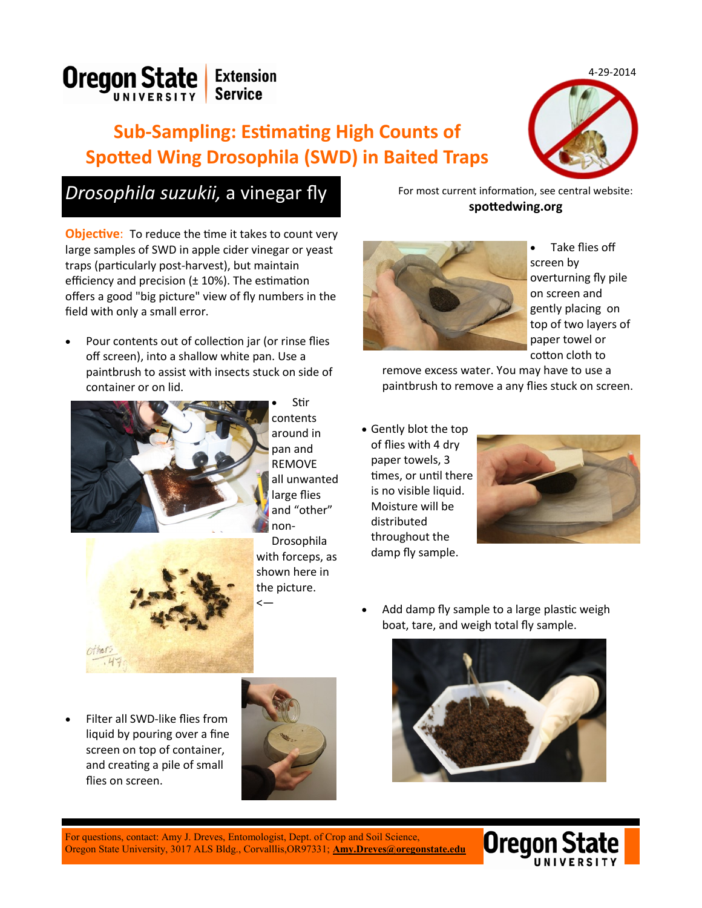4-29-2014



## **Sub-Sampling: Estimating High Counts of Spotted Wing Drosophila (SWD) in Baited Traps**



## **Drosophila suzukii, a vinegar fly** For most current information, see central website:

**Objective:** To reduce the time it takes to count very large samples of SWD in apple cider vinegar or yeast traps (particularly post-harvest), but maintain efficiency and precision  $(\pm 10\%)$ . The estimation offers a good "big picture" view of fly numbers in the field with only a small error.

 Pour contents out of collection jar (or rinse flies off screen), into a shallow white pan. Use a paintbrush to assist with insects stuck on side of container or on lid.



 Stir contents around in pan and REMOVE all unwanted large flies and "other" non-

Drosophila with forceps, as shown here in the picture. <—

**spottedwing.org**



 Take flies off screen by overturning fly pile on screen and gently placing on top of two layers of paper towel or cotton cloth to

remove excess water. You may have to use a paintbrush to remove a any flies stuck on screen.

 Gently blot the top of flies with 4 dry paper towels, 3 times, or until there is no visible liquid. Moisture will be distributed throughout the damp fly sample.



 Add damp fly sample to a large plastic weigh boat, tare, and weigh total fly sample.

 Filter all SWD-like flies from liquid by pouring over a fine screen on top of container, and creating a pile of small flies on screen.





Oregon State University, 3017 ALS Bldg., Corvalllis,OR97331; **[Amy.Dreves@oregonstate.edu](mailto:Amy.Dreves@oregonstate.edu)** For questions, contact: Amy J. Dreves, Entomologist, Dept. of Crop and Soil Science,